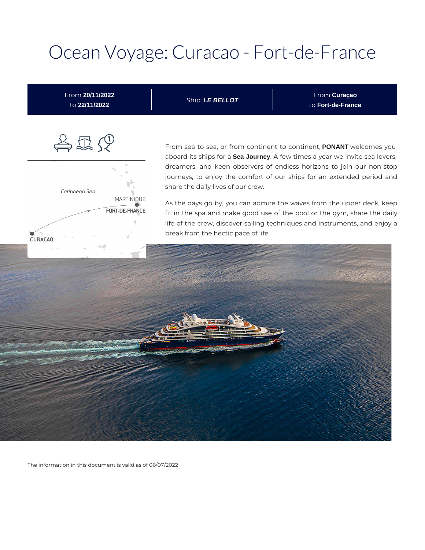## Ocean Voyage: Curacao - Fort-de-France



The information in this document is valid as of 06/07/2022